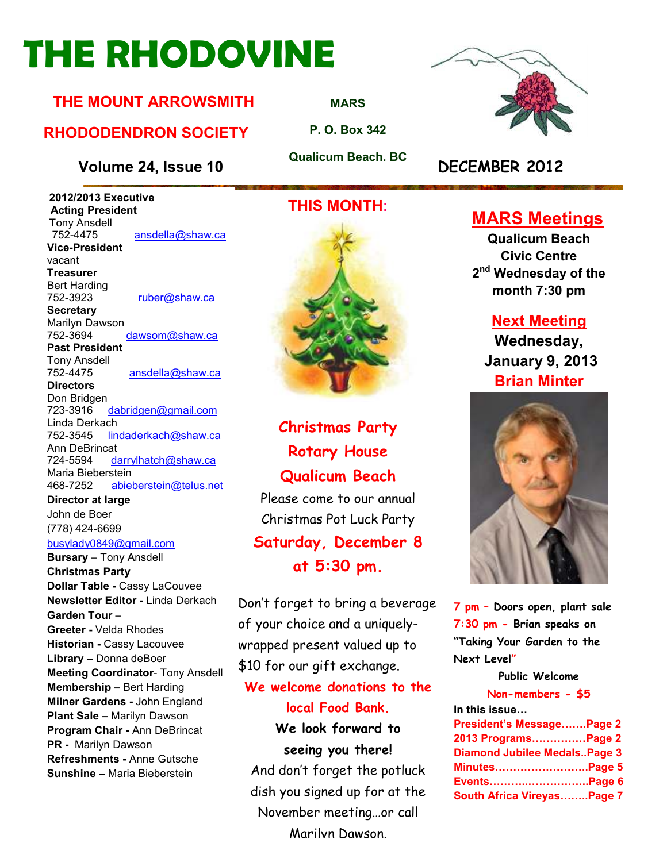# **THE RHODOVINE**

#### **THE MOUNT ARROWSMITH**

#### **RHODODENDRON SOCIETY**

#### **Volume 24, Issue 10 DECEMBER 2012**

 **2012/2013 Executive Acting President Tony Ansdell**<br>752-4475 ansdella@shaw.ca **Vice-President**  vacant **Treasurer**  Bert Harding 752-3923 ruber@shaw.ca **Secretary** Marilyn Dawson 752-3694 dawsom@shaw.ca **Past President**  Tony Ansdell ansdella@shaw.ca **Directors**  Don Bridgen 723-3916 dabridgen@gmail.com Linda Derkach 752-3545 lindaderkach@shaw.ca Ann DeBrincat 724-5594 darrylhatch@shaw.ca Maria Bieberstein 468-7252 abieberstein@telus.net **Director at large** 

John de Boer (778) 424-6699

#### busylady0849@gmail.com

**Bursary** – Tony Ansdell **Christmas Party Dollar Table -** Cassy LaCouvee **Newsletter Editor -** Linda Derkach **Garden Tour** – **Greeter -** Velda Rhodes **Historian -** Cassy Lacouvee **Library –** Donna deBoer **Meeting Coordinator**- Tony Ansdell **Membership –** Bert Harding **Milner Gardens -** John England **Plant Sale –** Marilyn Dawson **Program Chair -** Ann DeBrincat **PR -** Marilyn Dawson **Refreshments -** Anne Gutsche **Sunshine –** Maria Bieberstein

#### **THIS MONTH:**



**Christmas Party Rotary House Qualicum Beach**  Please come to our annual Christmas Pot Luck Party **Saturday, December 8** 

**at 5:30 pm.** 

Don't forget to bring a beverage of your choice and a uniquelywrapped present valued up to \$10 for our gift exchange.

**We welcome donations to the** 

#### **local Food Bank.**

**We look forward to seeing you there!** 

And don't forget the potluck dish you signed up for at the November meeting…or call Marilyn Dawson.



### **MARS Meetings**

**Qualicum Beach Civic Centre 2 nd Wednesday of the month 7:30 pm** 

#### **Next Meeting**

**Wednesday, January 9, 2013 Brian Minter** 



**7 pm – Doors open, plant sale 7:30 pm - Brian speaks on "Taking Your Garden to the Next Level"** 

#### **Public Welcome**

#### **Non-members - \$5**

| In this issue                       |  |
|-------------------------------------|--|
| President's MessagePage 2           |  |
| 2013 ProgramsPage 2                 |  |
| <b>Diamond Jubilee MedalsPage 3</b> |  |
| <b>MinutesPage 5</b>                |  |
|                                     |  |
| South Africa VireyasPage 7          |  |



**MARS**

**P. O. Box 342** 

**Qualicum Beach. BC**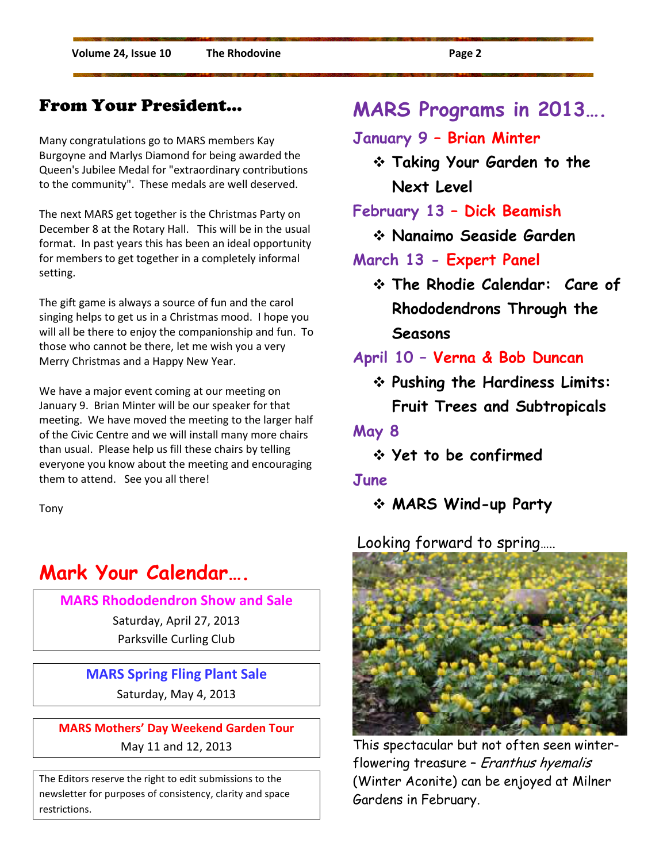#### From Your President…

Many congratulations go to MARS members Kay Burgoyne and Marlys Diamond for being awarded the Queen's Jubilee Medal for "extraordinary contributions to the community". These medals are well deserved.

The next MARS get together is the Christmas Party on December 8 at the Rotary Hall. This will be in the usual format. In past years this has been an ideal opportunity for members to get together in a completely informal setting.

The gift game is always a source of fun and the carol singing helps to get us in a Christmas mood. I hope you will all be there to enjoy the companionship and fun. To those who cannot be there, let me wish you a very Merry Christmas and a Happy New Year.

We have a major event coming at our meeting on January 9. Brian Minter will be our speaker for that meeting. We have moved the meeting to the larger half of the Civic Centre and we will install many more chairs than usual. Please help us fill these chairs by telling everyone you know about the meeting and encouraging them to attend. See you all there!

Tony

## **Mark Your Calendar….**

**MARS Rhododendron Show and Sale** 

Saturday, April 27, 2013 Parksville Curling Club

#### **MARS Spring Fling Plant Sale**

Saturday, May 4, 2013

**MARS Mothers' Day Weekend Garden Tour**  May 11 and 12, 2013

The Editors reserve the right to edit submissions to the newsletter for purposes of consistency, clarity and space restrictions.

## **MARS Programs in 2013….**

#### **January 9 – Brian Minter**

 **Taking Your Garden to the Next Level** 

**February 13 – Dick Beamish** 

**Nanaimo Seaside Garden** 

#### **March 13 - Expert Panel**

 **The Rhodie Calendar: Care of Rhododendrons Through the Seasons** 

#### **April 10 – Verna & Bob Duncan**

 **Pushing the Hardiness Limits: Fruit Trees and Subtropicals** 

#### **May 8**

**Yet to be confirmed** 

#### **June**

**MARS Wind-up Party** 

Looking forward to spring…..



This spectacular but not often seen winterflowering treasure – Eranthus hyemalis (Winter Aconite) can be enjoyed at Milner Gardens in February.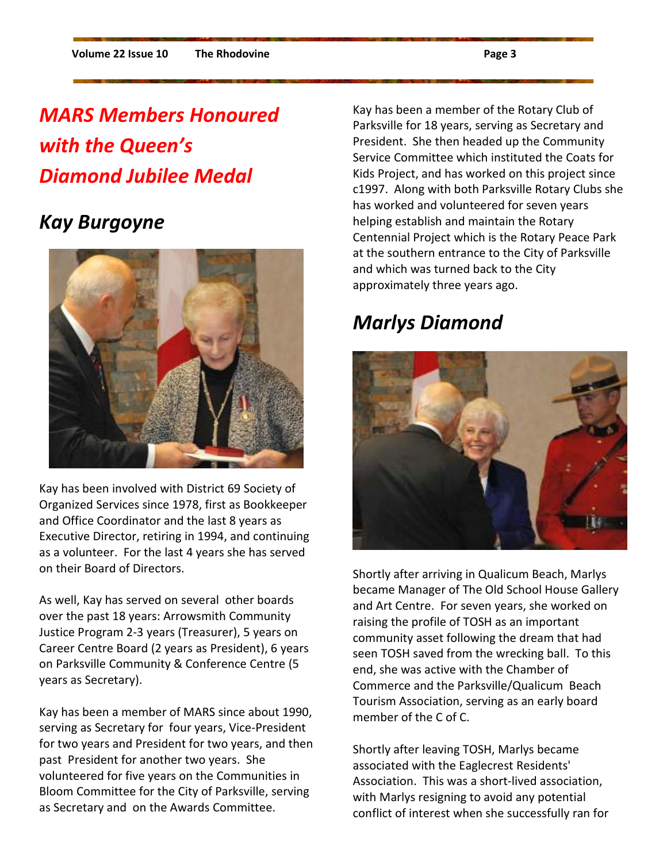# *MARS Members Honoured with the Queen's Diamond Jubilee Medal*

## *Kay Burgoyne*



Kay has been involved with District 69 Society of Organized Services since 1978, first as Bookkeeper and Office Coordinator and the last 8 years as Executive Director, retiring in 1994, and continuing as a volunteer. For the last 4 years she has served on their Board of Directors.

As well, Kay has served on several other boards over the past 18 years: Arrowsmith Community Justice Program 2-3 years (Treasurer), 5 years on Career Centre Board (2 years as President), 6 years on Parksville Community & Conference Centre (5 years as Secretary).

Kay has been a member of MARS since about 1990, serving as Secretary for four years, Vice-President for two years and President for two years, and then past President for another two years. She volunteered for five years on the Communities in Bloom Committee for the City of Parksville, serving as Secretary and on the Awards Committee.

Kay has been a member of the Rotary Club of Parksville for 18 years, serving as Secretary and President. She then headed up the Community Service Committee which instituted the Coats for Kids Project, and has worked on this project since c1997. Along with both Parksville Rotary Clubs she has worked and volunteered for seven years helping establish and maintain the Rotary Centennial Project which is the Rotary Peace Park at the southern entrance to the City of Parksville and which was turned back to the City approximately three years ago.

# *Marlys Diamond*



Shortly after arriving in Qualicum Beach, Marlys became Manager of The Old School House Gallery and Art Centre. For seven years, she worked on raising the profile of TOSH as an important community asset following the dream that had seen TOSH saved from the wrecking ball. To this end, she was active with the Chamber of Commerce and the Parksville/Qualicum Beach Tourism Association, serving as an early board member of the C of C.

Shortly after leaving TOSH, Marlys became associated with the Eaglecrest Residents' Association. This was a short-lived association, with Marlys resigning to avoid any potential conflict of interest when she successfully ran for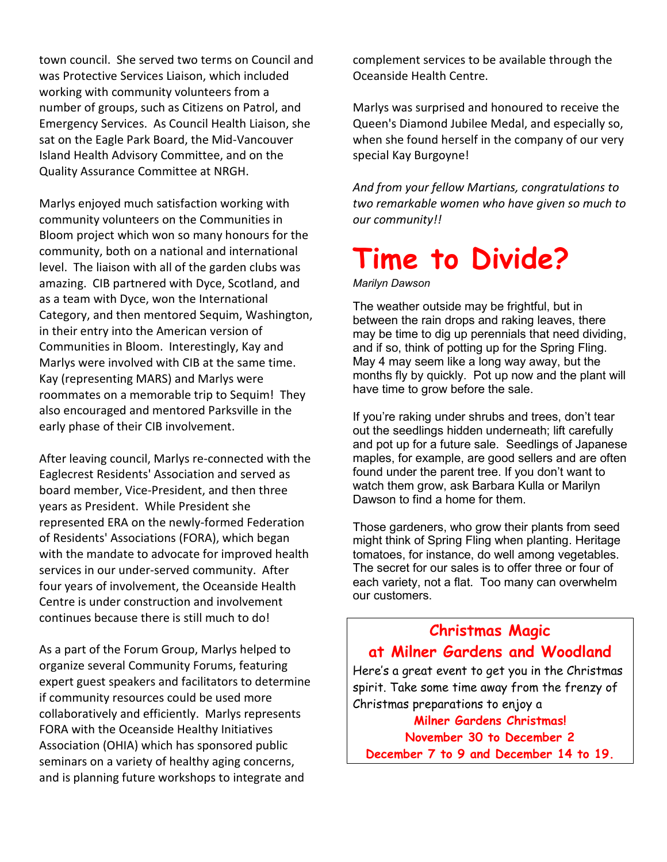town council. She served two terms on Council and was Protective Services Liaison, which included working with community volunteers from a number of groups, such as Citizens on Patrol, and Emergency Services. As Council Health Liaison, she sat on the Eagle Park Board, the Mid-Vancouver Island Health Advisory Committee, and on the Quality Assurance Committee at NRGH.

Marlys enjoyed much satisfaction working with community volunteers on the Communities in Bloom project which won so many honours for the community, both on a national and international level. The liaison with all of the garden clubs was amazing. CIB partnered with Dyce, Scotland, and as a team with Dyce, won the International Category, and then mentored Sequim, Washington, in their entry into the American version of Communities in Bloom. Interestingly, Kay and Marlys were involved with CIB at the same time. Kay (representing MARS) and Marlys were roommates on a memorable trip to Sequim! They also encouraged and mentored Parksville in the early phase of their CIB involvement.

After leaving council, Marlys re-connected with the Eaglecrest Residents' Association and served as board member, Vice-President, and then three years as President. While President she represented ERA on the newly-formed Federation of Residents' Associations (FORA), which began with the mandate to advocate for improved health services in our under-served community. After four years of involvement, the Oceanside Health Centre is under construction and involvement continues because there is still much to do!

As a part of the Forum Group, Marlys helped to organize several Community Forums, featuring expert guest speakers and facilitators to determine if community resources could be used more collaboratively and efficiently. Marlys represents FORA with the Oceanside Healthy Initiatives Association (OHIA) which has sponsored public seminars on a variety of healthy aging concerns, and is planning future workshops to integrate and

complement services to be available through the Oceanside Health Centre.

Marlys was surprised and honoured to receive the Queen's Diamond Jubilee Medal, and especially so, when she found herself in the company of our very special Kay Burgoyne!

*And from your fellow Martians, congratulations to two remarkable women who have given so much to our community!!* 

# **Time to Divide?**

*Marilyn Dawson* 

The weather outside may be frightful, but in between the rain drops and raking leaves, there may be time to dig up perennials that need dividing, and if so, think of potting up for the Spring Fling. May 4 may seem like a long way away, but the months fly by quickly. Pot up now and the plant will have time to grow before the sale.

If you're raking under shrubs and trees, don't tear out the seedlings hidden underneath; lift carefully and pot up for a future sale. Seedlings of Japanese maples, for example, are good sellers and are often found under the parent tree. If you don't want to watch them grow, ask Barbara Kulla or Marilyn Dawson to find a home for them.

Those gardeners, who grow their plants from seed might think of Spring Fling when planting. Heritage tomatoes, for instance, do well among vegetables. The secret for our sales is to offer three or four of each variety, not a flat. Too many can overwhelm our customers.

#### **Christmas Magic at Milner Gardens and Woodland**

Here's a great event to get you in the Christmas spirit. Take some time away from the frenzy of Christmas preparations to enjoy a

**Milner Gardens Christmas! November 30 to December 2 December 7 to 9 and December 14 to 19.**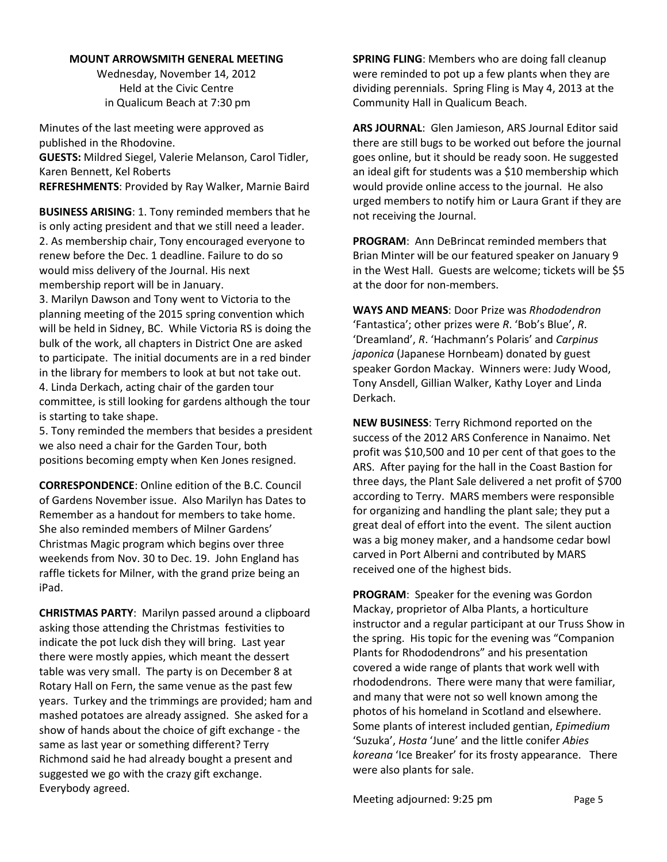#### **MOUNT ARROWSMITH GENERAL MEETING**

Wednesday, November 14, 2012 Held at the Civic Centre in Qualicum Beach at 7:30 pm

Minutes of the last meeting were approved as published in the Rhodovine. **GUESTS:** Mildred Siegel, Valerie Melanson, Carol Tidler, Karen Bennett, Kel Roberts

**REFRESHMENTS**: Provided by Ray Walker, Marnie Baird

**BUSINESS ARISING**: 1. Tony reminded members that he is only acting president and that we still need a leader. 2. As membership chair, Tony encouraged everyone to renew before the Dec. 1 deadline. Failure to do so would miss delivery of the Journal. His next membership report will be in January.

3. Marilyn Dawson and Tony went to Victoria to the planning meeting of the 2015 spring convention which will be held in Sidney, BC. While Victoria RS is doing the bulk of the work, all chapters in District One are asked to participate. The initial documents are in a red binder in the library for members to look at but not take out. 4. Linda Derkach, acting chair of the garden tour committee, is still looking for gardens although the tour is starting to take shape.

5. Tony reminded the members that besides a president we also need a chair for the Garden Tour, both positions becoming empty when Ken Jones resigned.

**CORRESPONDENCE**: Online edition of the B.C. Council of Gardens November issue. Also Marilyn has Dates to Remember as a handout for members to take home. She also reminded members of Milner Gardens' Christmas Magic program which begins over three weekends from Nov. 30 to Dec. 19. John England has raffle tickets for Milner, with the grand prize being an iPad.

**CHRISTMAS PARTY**: Marilyn passed around a clipboard asking those attending the Christmas festivities to indicate the pot luck dish they will bring. Last year there were mostly appies, which meant the dessert table was very small. The party is on December 8 at Rotary Hall on Fern, the same venue as the past few years. Turkey and the trimmings are provided; ham and mashed potatoes are already assigned. She asked for a show of hands about the choice of gift exchange - the same as last year or something different? Terry Richmond said he had already bought a present and suggested we go with the crazy gift exchange. Everybody agreed.

**SPRING FLING**: Members who are doing fall cleanup were reminded to pot up a few plants when they are dividing perennials. Spring Fling is May 4, 2013 at the Community Hall in Qualicum Beach.

**ARS JOURNAL**: Glen Jamieson, ARS Journal Editor said there are still bugs to be worked out before the journal goes online, but it should be ready soon. He suggested an ideal gift for students was a \$10 membership which would provide online access to the journal. He also urged members to notify him or Laura Grant if they are not receiving the Journal.

**PROGRAM**: Ann DeBrincat reminded members that Brian Minter will be our featured speaker on January 9 in the West Hall. Guests are welcome; tickets will be \$5 at the door for non-members.

**WAYS AND MEANS**: Door Prize was *Rhododendron* 'Fantastica'; other prizes were *R*. 'Bob's Blue', *R*. 'Dreamland', *R*. 'Hachmann's Polaris' and *Carpinus japonica* (Japanese Hornbeam) donated by guest speaker Gordon Mackay. Winners were: Judy Wood, Tony Ansdell, Gillian Walker, Kathy Loyer and Linda Derkach.

**NEW BUSINESS**: Terry Richmond reported on the success of the 2012 ARS Conference in Nanaimo. Net profit was \$10,500 and 10 per cent of that goes to the ARS. After paying for the hall in the Coast Bastion for three days, the Plant Sale delivered a net profit of \$700 according to Terry. MARS members were responsible for organizing and handling the plant sale; they put a great deal of effort into the event. The silent auction was a big money maker, and a handsome cedar bowl carved in Port Alberni and contributed by MARS received one of the highest bids.

**PROGRAM**: Speaker for the evening was Gordon Mackay, proprietor of Alba Plants, a horticulture instructor and a regular participant at our Truss Show in the spring. His topic for the evening was "Companion Plants for Rhododendrons" and his presentation covered a wide range of plants that work well with rhododendrons. There were many that were familiar, and many that were not so well known among the photos of his homeland in Scotland and elsewhere. Some plants of interest included gentian, *Epimedium* 'Suzuka', *Hosta* 'June' and the little conifer *Abies koreana* 'Ice Breaker' for its frosty appearance. There were also plants for sale.

Meeting adjourned: 9:25 pm Page 5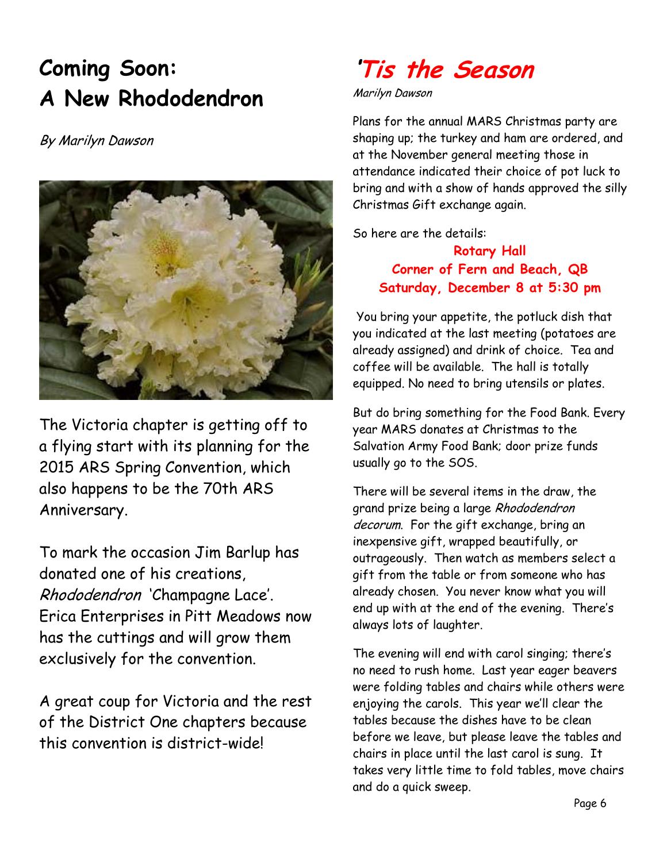# **Coming Soon: A New Rhododendron**

#### By Marilyn Dawson



The Victoria chapter is getting off to a flying start with its planning for the 2015 ARS Spring Convention, which also happens to be the 70th ARS Anniversary.

To mark the occasion Jim Barlup has donated one of his creations, Rhododendron 'Champagne Lace'. Erica Enterprises in Pitt Meadows now has the cuttings and will grow them exclusively for the convention.

A great coup for Victoria and the rest of the District One chapters because this convention is district-wide!

# **'Tis the Season**

#### Marilyn Dawson

Plans for the annual MARS Christmas party are shaping up; the turkey and ham are ordered, and at the November general meeting those in attendance indicated their choice of pot luck to bring and with a show of hands approved the silly Christmas Gift exchange again.

So here are the details:

**Rotary Hall Corner of Fern and Beach, QB Saturday, December 8 at 5:30 pm** 

 You bring your appetite, the potluck dish that you indicated at the last meeting (potatoes are already assigned) and drink of choice. Tea and coffee will be available. The hall is totally equipped. No need to bring utensils or plates.

But do bring something for the Food Bank. Every year MARS donates at Christmas to the Salvation Army Food Bank; door prize funds usually go to the SOS.

There will be several items in the draw, the grand prize being a large Rhododendron decorum. For the gift exchange, bring an inexpensive gift, wrapped beautifully, or outrageously. Then watch as members select a gift from the table or from someone who has already chosen. You never know what you will end up with at the end of the evening. There's always lots of laughter.

The evening will end with carol singing; there's no need to rush home. Last year eager beavers were folding tables and chairs while others were enjoying the carols. This year we'll clear the tables because the dishes have to be clean before we leave, but please leave the tables and chairs in place until the last carol is sung. It takes very little time to fold tables, move chairs and do a quick sweep.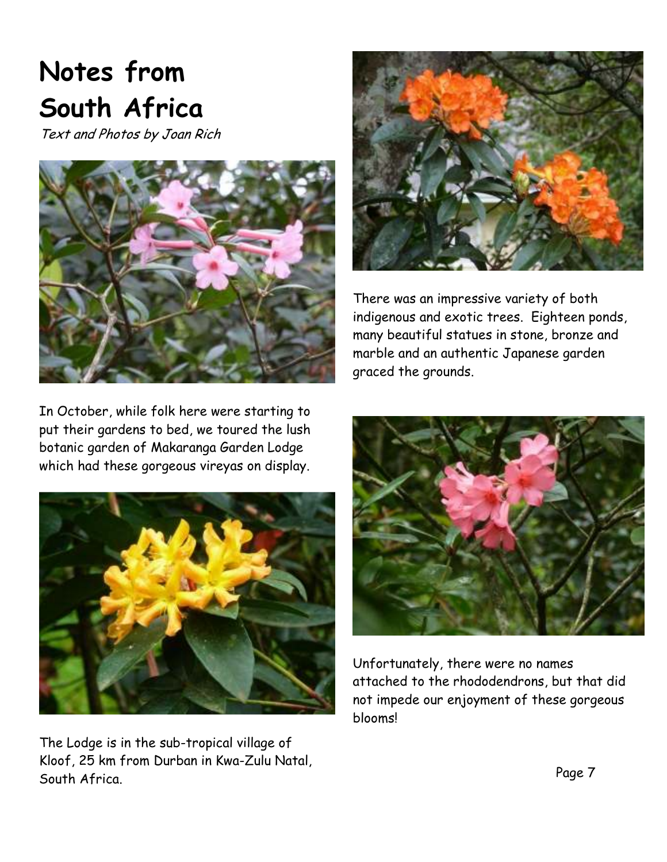# **Notes from South Africa**

Text and Photos by Joan Rich



In October, while folk here were starting to put their gardens to bed, we toured the lush botanic garden of Makaranga Garden Lodge which had these gorgeous vireyas on display.



The Lodge is in the sub-tropical village of Kloof, 25 km from Durban in Kwa-Zulu Natal, South Africa.



There was an impressive variety of both indigenous and exotic trees. Eighteen ponds, many beautiful statues in stone, bronze and marble and an authentic Japanese garden graced the grounds.



Unfortunately, there were no names attached to the rhododendrons, but that did not impede our enjoyment of these gorgeous blooms!